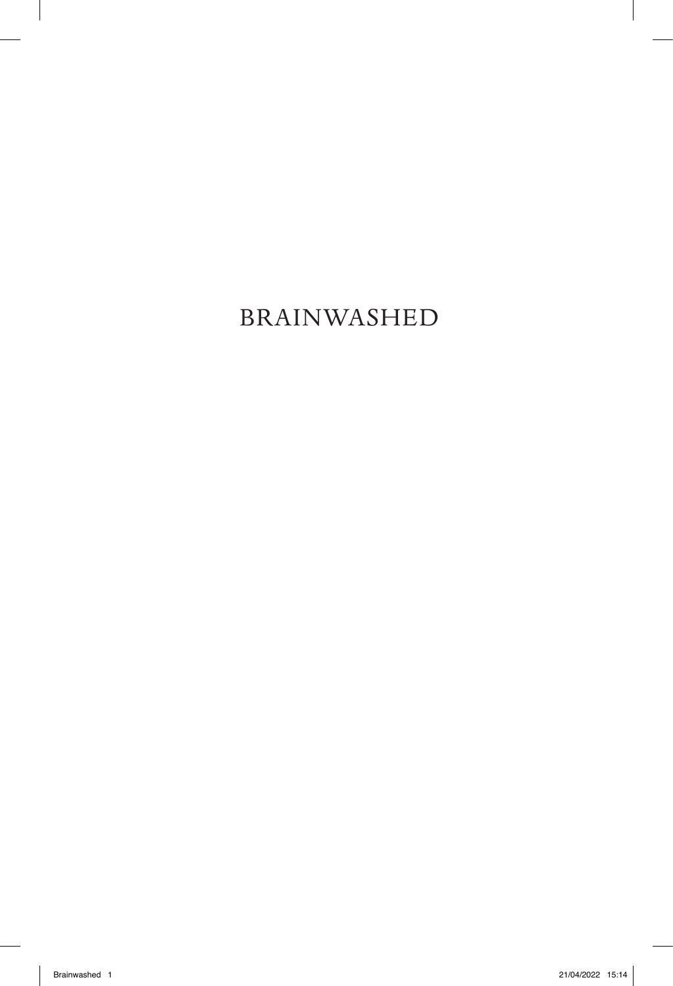$\mathbf{I}$ 

- 11

 $\sim$  10  $^{\circ}$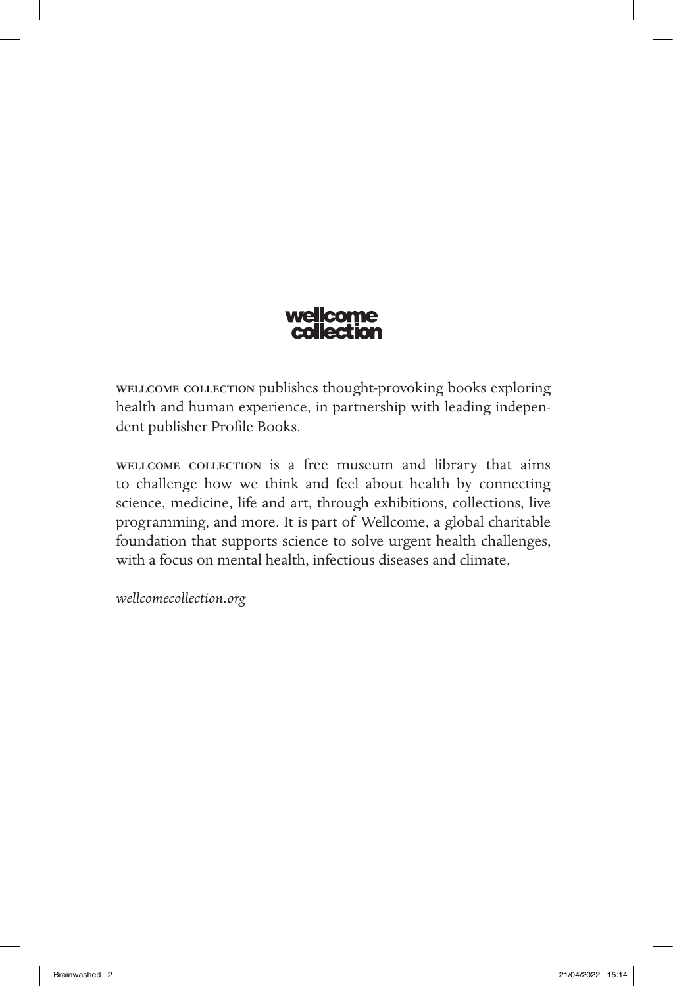

**wellcome collection** publishes thought-provoking books exploring health and human experience, in partnership with leading independent publisher Profile Books.

**wellcome collection** is a free museum and library that aims to challenge how we think and feel about health by connecting science, medicine, life and art, through exhibitions, collections, live programming, and more. It is part of Wellcome, a global charitable foundation that supports science to solve urgent health challenges, with a focus on mental health, infectious diseases and climate.

*wellcomecollection.org*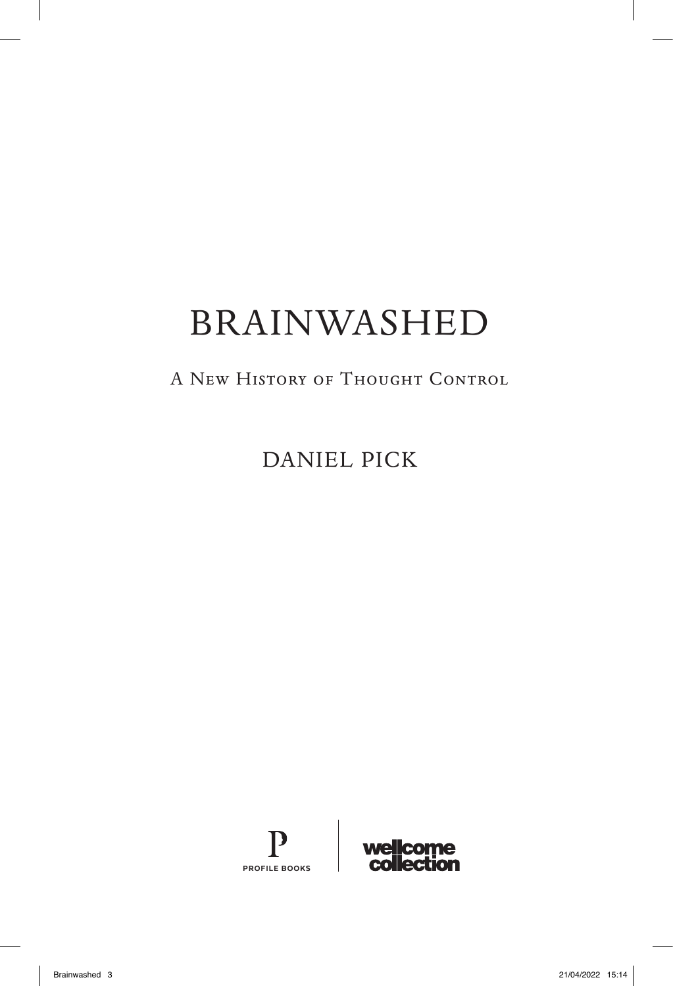## A New History of Thought Control

## Daniel Pick



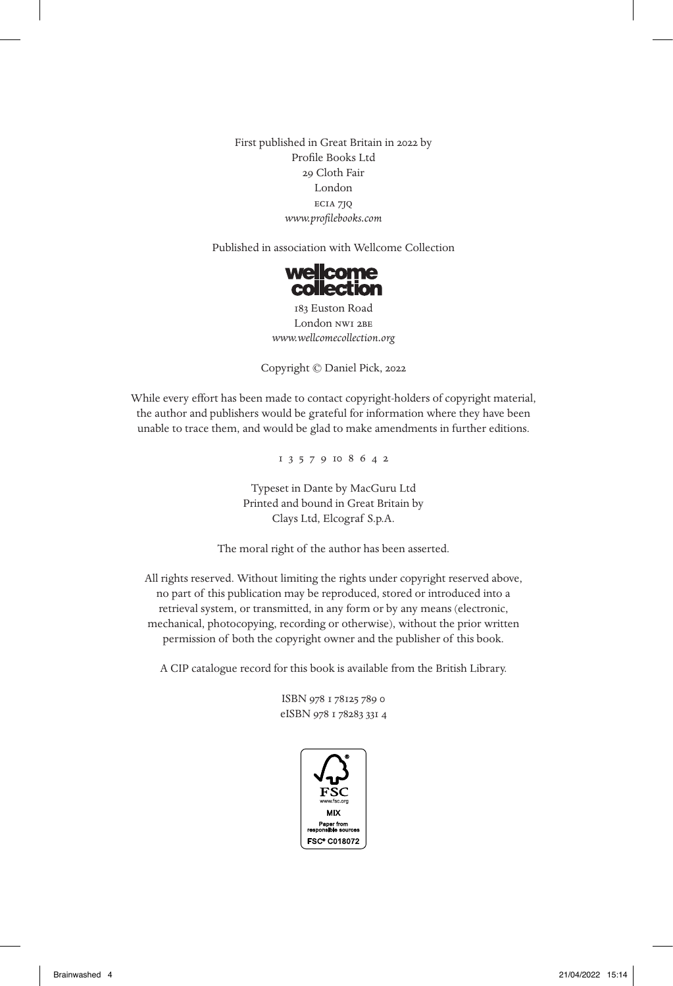First published in Great Britain in 2022 by Profile Books Ltd 29 Cloth Fair London ec1a 7jq *www.profilebooks.com*

Published in association with Wellcome Collection



183 Euston Road London NWI 2BE *www.wellcomecollection.org* 

Copyright © Daniel Pick, 2022

While every effort has been made to contact copyright-holders of copyright material, the author and publishers would be grateful for information where they have been unable to trace them, and would be glad to make amendments in further editions.

1 3 5 7 9 10 8 6 4 2

Typeset in Dante by MacGuru Ltd Printed and bound in Great Britain by Clays Ltd, Elcograf S.p.A.

The moral right of the author has been asserted.

All rights reserved. Without limiting the rights under copyright reserved above, no part of this publication may be reproduced, stored or introduced into a retrieval system, or transmitted, in any form or by any means (electronic, mechanical, photocopying, recording or otherwise), without the prior written permission of both the copyright owner and the publisher of this book.

A CIP catalogue record for this book is available from the British Library.

ISBN 978 1 78125 789 0 eISBN 978 1 78283 331 4

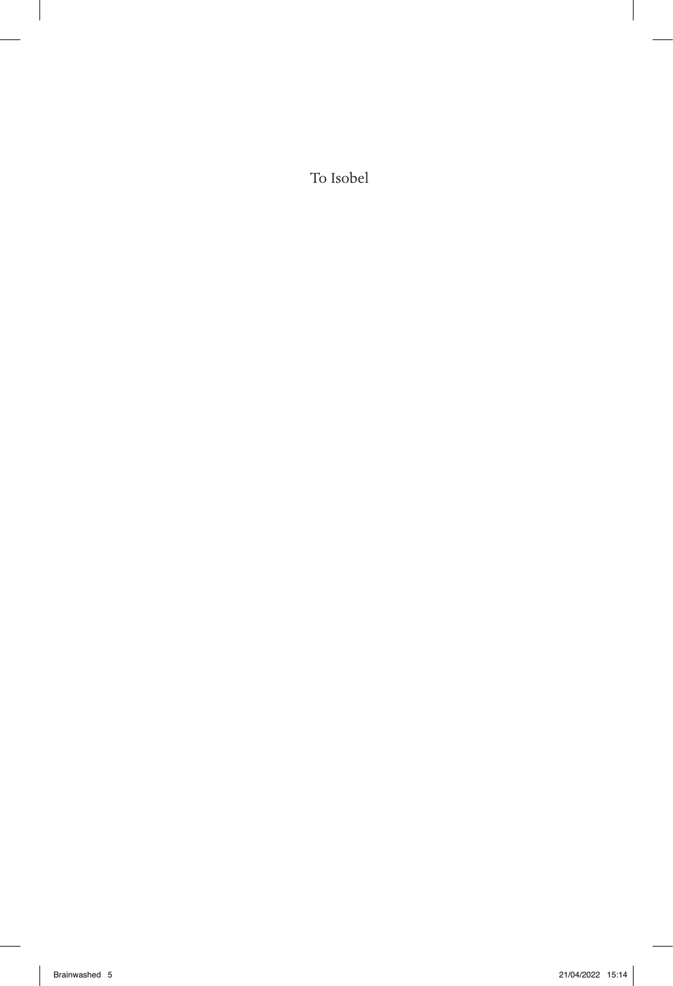To Isobel

 $\mathbf{I}$ 

- 11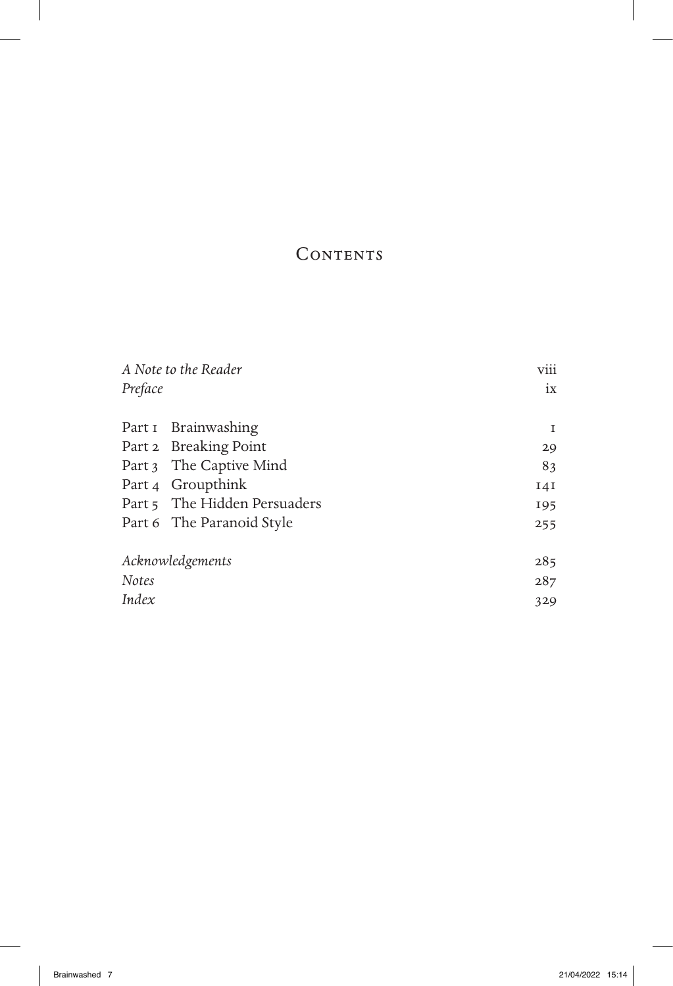## **CONTENTS**

 $\mathbf{I}$ 

 $\mathbf{I}$ 

 $\mathbf{u}$ 

| A Note to the Reader |                              | viii |
|----------------------|------------------------------|------|
| Preface              |                              | ix   |
|                      |                              |      |
|                      | Part I Brainwashing          | 1    |
|                      | Part 2 Breaking Point        | 29   |
|                      | Part 3 The Captive Mind      | 83   |
|                      | Part 4 Groupthink            | I4I  |
|                      | Part 5 The Hidden Persuaders | 195  |
|                      | Part 6 The Paranoid Style    | 255  |
| Acknowledgements     |                              | 285  |
| <b>Notes</b>         |                              | 287  |
| Index                |                              | 329  |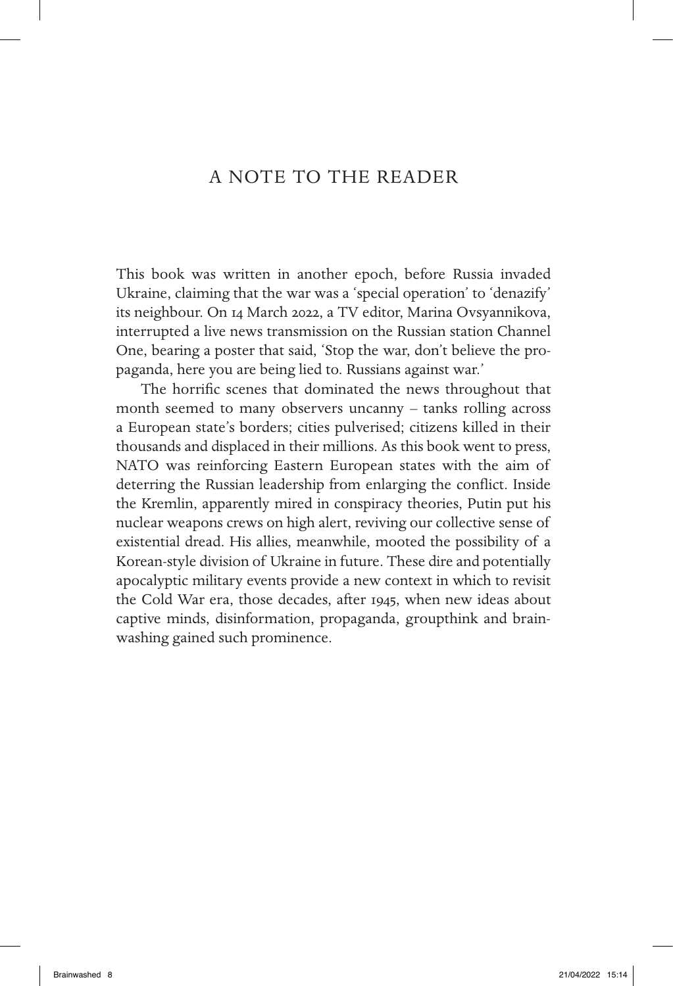#### A Note to the Reader

This book was written in another epoch, before Russia invaded Ukraine, claiming that the war was a 'special operation' to 'denazify' its neighbour. On 14 March 2022, a TV editor, Marina Ovsyannikova, interrupted a live news transmission on the Russian station Channel One, bearing a poster that said, 'Stop the war, don't believe the propaganda, here you are being lied to. Russians against war.'

The horrific scenes that dominated the news throughout that month seemed to many observers uncanny – tanks rolling across a European state's borders; cities pulverised; citizens killed in their thousands and displaced in their millions. As this book went to press, NATO was reinforcing Eastern European states with the aim of deterring the Russian leadership from enlarging the conflict. Inside the Kremlin, apparently mired in conspiracy theories, Putin put his nuclear weapons crews on high alert, reviving our collective sense of existential dread. His allies, meanwhile, mooted the possibility of a Korean-style division of Ukraine in future. These dire and potentially apocalyptic military events provide a new context in which to revisit the Cold War era, those decades, after 1945, when new ideas about captive minds, disinformation, propaganda, groupthink and brainwashing gained such prominence.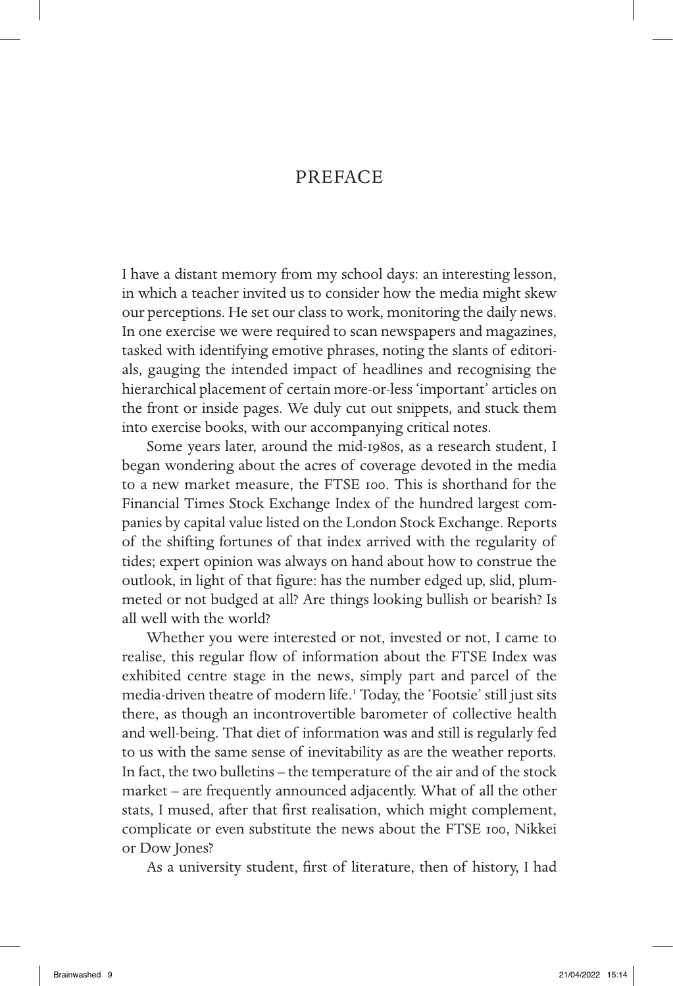#### **PREFACE**

I have a distant memory from my school days: an interesting lesson, in which a teacher invited us to consider how the media might skew our perceptions. He set our class to work, monitoring the daily news. In one exercise we were required to scan newspapers and magazines, tasked with identifying emotive phrases, noting the slants of editorials, gauging the intended impact of headlines and recognising the hierarchical placement of certain more-or-less 'important' articles on the front or inside pages. We duly cut out snippets, and stuck them into exercise books, with our accompanying critical notes.

Some years later, around the mid-1980s, as a research student, I began wondering about the acres of coverage devoted in the media to a new market measure, the FTSE 100. This is shorthand for the Financial Times Stock Exchange Index of the hundred largest companies by capital value listed on the London Stock Exchange. Reports of the shifting fortunes of that index arrived with the regularity of tides; expert opinion was always on hand about how to construe the outlook, in light of that figure: has the number edged up, slid, plummeted or not budged at all? Are things looking bullish or bearish? Is all well with the world?

Whether you were interested or not, invested or not, I came to realise, this regular flow of information about the FTSE Index was exhibited centre stage in the news, simply part and parcel of the media-driven theatre of modern life.<sup>1</sup> Today, the 'Footsie' still just sits there, as though an incontrovertible barometer of collective health and well-being. That diet of information was and still is regularly fed to us with the same sense of inevitability as are the weather reports. In fact, the two bulletins – the temperature of the air and of the stock market – are frequently announced adjacently. What of all the other stats, I mused, after that first realisation, which might complement, complicate or even substitute the news about the FTSE 100, Nikkei or Dow Jones?

As a university student, first of literature, then of history, I had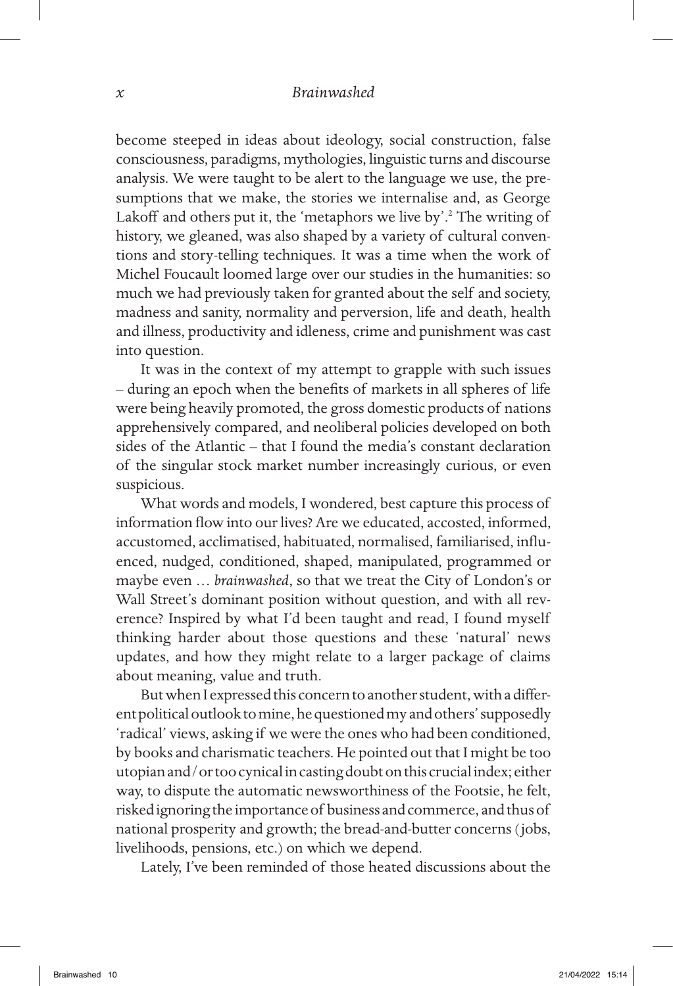become steeped in ideas about ideology, social construction, false consciousness, paradigms, mythologies, linguistic turns and discourse analysis. We were taught to be alert to the language we use, the presumptions that we make, the stories we internalise and, as George Lakoff and others put it, the 'metaphors we live by'.<sup>2</sup> The writing of history, we gleaned, was also shaped by a variety of cultural conventions and story-telling techniques. It was a time when the work of Michel Foucault loomed large over our studies in the humanities: so much we had previously taken for granted about the self and society, madness and sanity, normality and perversion, life and death, health and illness, productivity and idleness, crime and punishment was cast into question.

It was in the context of my attempt to grapple with such issues – during an epoch when the benefits of markets in all spheres of life were being heavily promoted, the gross domestic products of nations apprehensively compared, and neoliberal policies developed on both sides of the Atlantic – that I found the media's constant declaration of the singular stock market number increasingly curious, or even suspicious.

What words and models, I wondered, best capture this process of information flow into our lives? Are we educated, accosted, informed, accustomed, acclimatised, habituated, normalised, familiarised, influenced, nudged, conditioned, shaped, manipulated, programmed or maybe even … *brainwashed*, so that we treat the City of London's or Wall Street's dominant position without question, and with all reverence? Inspired by what I'd been taught and read, I found myself thinking harder about those questions and these 'natural' news updates, and how they might relate to a larger package of claims about meaning, value and truth.

But when I expressed this concern to another student, with a different political outlook to mine, he questioned my and others' supposedly 'radical' views, asking if we were the ones who had been conditioned, by books and charismatic teachers. He pointed out that I might be too utopian and/or too cynical in casting doubt on this crucial index; either way, to dispute the automatic newsworthiness of the Footsie, he felt, risked ignoring the importance of business and commerce, and thus of national prosperity and growth; the bread-and-butter concerns (jobs, livelihoods, pensions, etc.) on which we depend.

Lately, I've been reminded of those heated discussions about the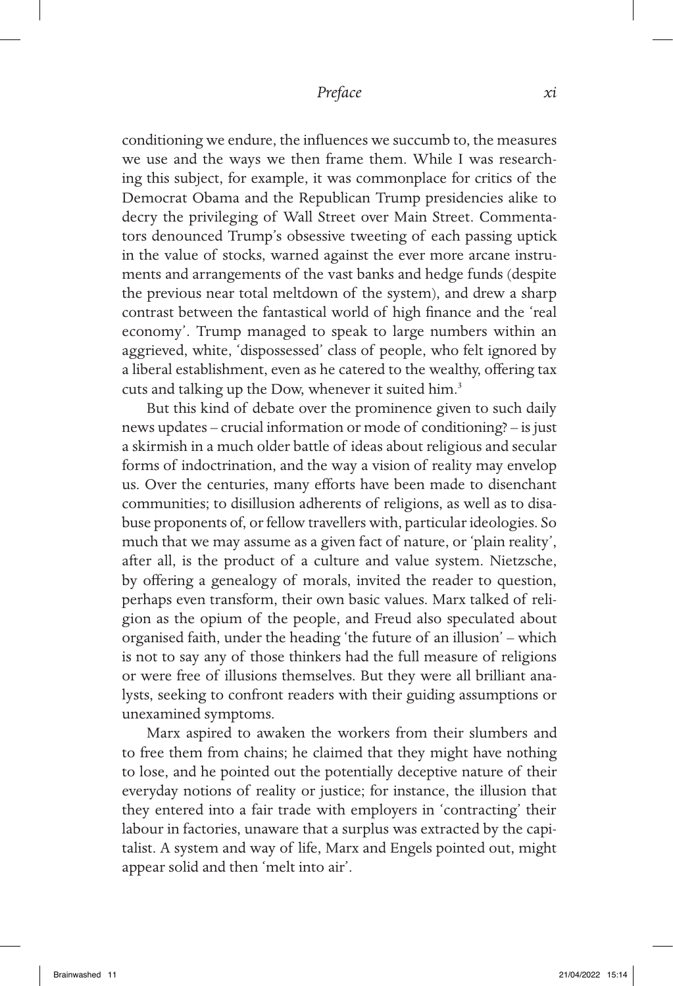conditioning we endure, the influences we succumb to, the measures we use and the ways we then frame them. While I was researching this subject, for example, it was commonplace for critics of the Democrat Obama and the Republican Trump presidencies alike to decry the privileging of Wall Street over Main Street. Commentators denounced Trump's obsessive tweeting of each passing uptick in the value of stocks, warned against the ever more arcane instruments and arrangements of the vast banks and hedge funds (despite the previous near total meltdown of the system), and drew a sharp contrast between the fantastical world of high finance and the 'real economy'. Trump managed to speak to large numbers within an aggrieved, white, 'dispossessed' class of people, who felt ignored by a liberal establishment, even as he catered to the wealthy, offering tax cuts and talking up the Dow, whenever it suited him.<sup>3</sup>

But this kind of debate over the prominence given to such daily news updates – crucial information or mode of conditioning? – is just a skirmish in a much older battle of ideas about religious and secular forms of indoctrination, and the way a vision of reality may envelop us. Over the centuries, many efforts have been made to disenchant communities; to disillusion adherents of religions, as well as to disabuse proponents of, or fellow travellers with, particular ideologies. So much that we may assume as a given fact of nature, or 'plain reality', after all, is the product of a culture and value system. Nietzsche, by offering a genealogy of morals, invited the reader to question, perhaps even transform, their own basic values. Marx talked of religion as the opium of the people, and Freud also speculated about organised faith, under the heading 'the future of an illusion' – which is not to say any of those thinkers had the full measure of religions or were free of illusions themselves. But they were all brilliant analysts, seeking to confront readers with their guiding assumptions or unexamined symptoms.

Marx aspired to awaken the workers from their slumbers and to free them from chains; he claimed that they might have nothing to lose, and he pointed out the potentially deceptive nature of their everyday notions of reality or justice; for instance, the illusion that they entered into a fair trade with employers in 'contracting' their labour in factories, unaware that a surplus was extracted by the capitalist. A system and way of life, Marx and Engels pointed out, might appear solid and then 'melt into air'.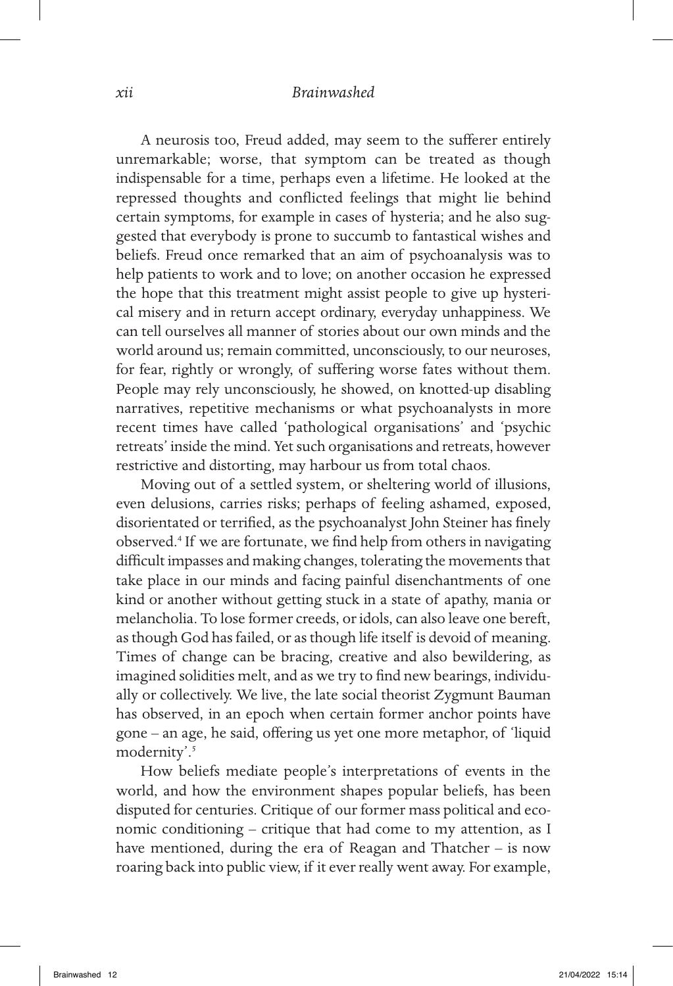#### *xii Brainwashed*

A neurosis too, Freud added, may seem to the sufferer entirely unremarkable; worse, that symptom can be treated as though indispensable for a time, perhaps even a lifetime. He looked at the repressed thoughts and conflicted feelings that might lie behind certain symptoms, for example in cases of hysteria; and he also suggested that everybody is prone to succumb to fantastical wishes and beliefs. Freud once remarked that an aim of psychoanalysis was to help patients to work and to love; on another occasion he expressed the hope that this treatment might assist people to give up hysterical misery and in return accept ordinary, everyday unhappiness. We can tell ourselves all manner of stories about our own minds and the world around us; remain committed, unconsciously, to our neuroses, for fear, rightly or wrongly, of suffering worse fates without them. People may rely unconsciously, he showed, on knotted-up disabling narratives, repetitive mechanisms or what psychoanalysts in more recent times have called 'pathological organisations' and 'psychic retreats' inside the mind. Yet such organisations and retreats, however restrictive and distorting, may harbour us from total chaos.

Moving out of a settled system, or sheltering world of illusions, even delusions, carries risks; perhaps of feeling ashamed, exposed, disorientated or terrified, as the psychoanalyst John Steiner has finely observed.4 If we are fortunate, we find help from others in navigating difficult impasses and making changes, tolerating the movements that take place in our minds and facing painful disenchantments of one kind or another without getting stuck in a state of apathy, mania or melancholia. To lose former creeds, or idols, can also leave one bereft, as though God has failed, or as though life itself is devoid of meaning. Times of change can be bracing, creative and also bewildering, as imagined solidities melt, and as we try to find new bearings, individually or collectively. We live, the late social theorist Zygmunt Bauman has observed, in an epoch when certain former anchor points have gone – an age, he said, offering us yet one more metaphor, of 'liquid modernity'.5

How beliefs mediate people's interpretations of events in the world, and how the environment shapes popular beliefs, has been disputed for centuries. Critique of our former mass political and economic conditioning – critique that had come to my attention, as I have mentioned, during the era of Reagan and Thatcher – is now roaring back into public view, if it ever really went away. For example,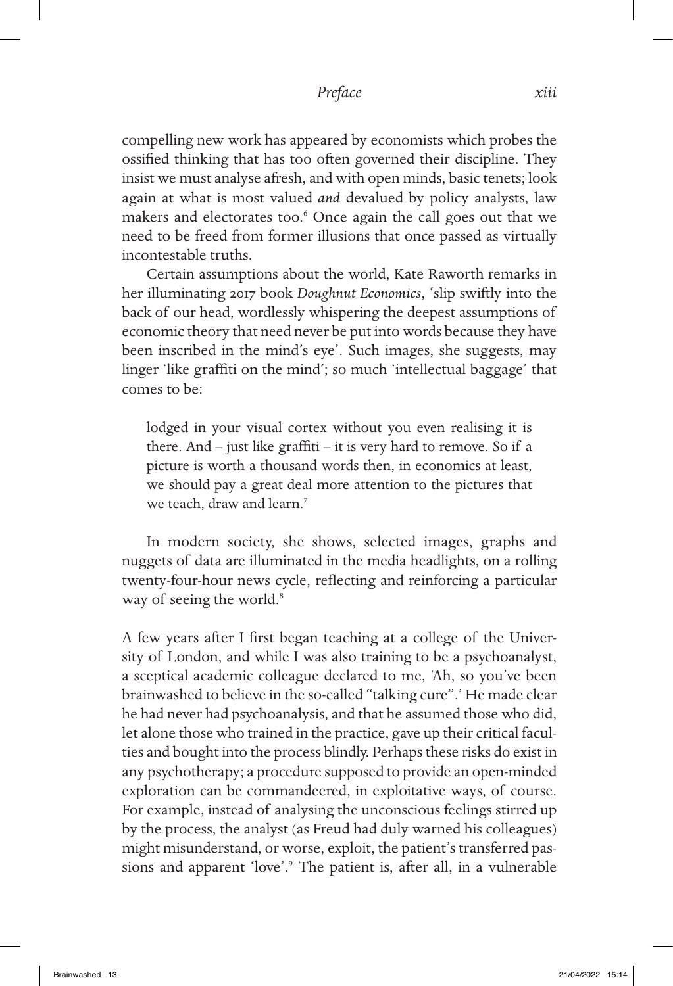#### *Preface xiii*

compelling new work has appeared by economists which probes the ossified thinking that has too often governed their discipline. They insist we must analyse afresh, and with open minds, basic tenets; look again at what is most valued *and* devalued by policy analysts, law makers and electorates too.<sup>6</sup> Once again the call goes out that we need to be freed from former illusions that once passed as virtually incontestable truths.

Certain assumptions about the world, Kate Raworth remarks in her illuminating 2017 book *Doughnut Economics*, 'slip swiftly into the back of our head, wordlessly whispering the deepest assumptions of economic theory that need never be put into words because they have been inscribed in the mind's eye'. Such images, she suggests, may linger 'like graffiti on the mind'; so much 'intellectual baggage' that comes to be:

lodged in your visual cortex without you even realising it is there. And – just like graffiti – it is very hard to remove. So if a picture is worth a thousand words then, in economics at least, we should pay a great deal more attention to the pictures that we teach, draw and learn.<sup>7</sup>

In modern society, she shows, selected images, graphs and nuggets of data are illuminated in the media headlights, on a rolling twenty-four-hour news cycle, reflecting and reinforcing a particular way of seeing the world.<sup>8</sup>

A few years after I first began teaching at a college of the University of London, and while I was also training to be a psychoanalyst, a sceptical academic colleague declared to me, 'Ah, so you've been brainwashed to believe in the so-called "talking cure".' He made clear he had never had psychoanalysis, and that he assumed those who did, let alone those who trained in the practice, gave up their critical faculties and bought into the process blindly. Perhaps these risks do exist in any psychotherapy; a procedure supposed to provide an open-minded exploration can be commandeered, in exploitative ways, of course. For example, instead of analysing the unconscious feelings stirred up by the process, the analyst (as Freud had duly warned his colleagues) might misunderstand, or worse, exploit, the patient's transferred passions and apparent 'love'.<sup>9</sup> The patient is, after all, in a vulnerable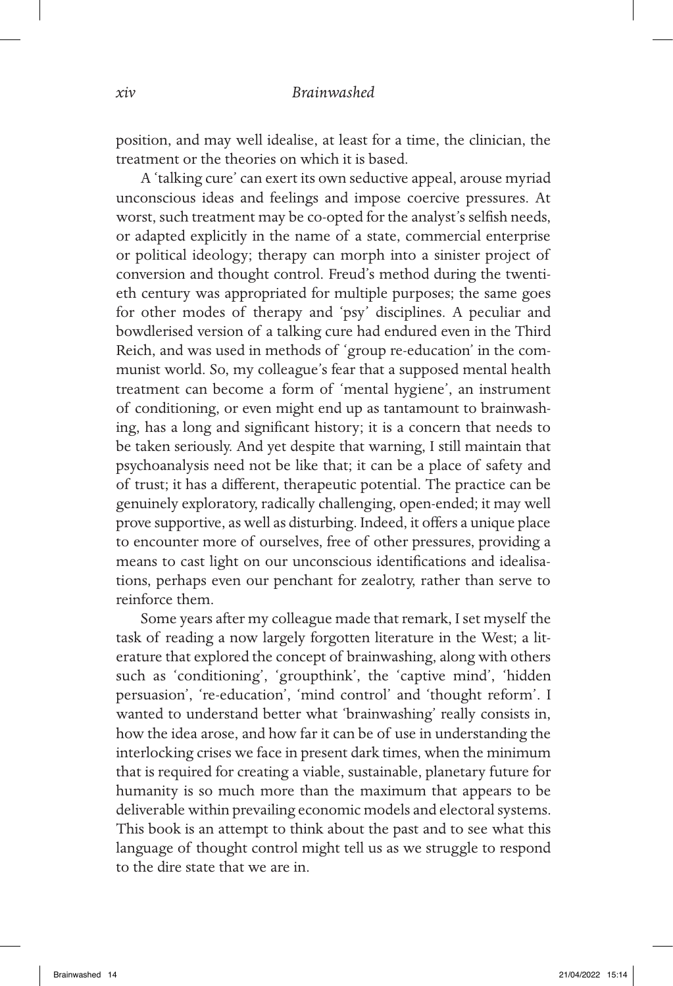position, and may well idealise, at least for a time, the clinician, the treatment or the theories on which it is based.

A 'talking cure' can exert its own seductive appeal, arouse myriad unconscious ideas and feelings and impose coercive pressures. At worst, such treatment may be co-opted for the analyst's selfish needs, or adapted explicitly in the name of a state, commercial enterprise or political ideology; therapy can morph into a sinister project of conversion and thought control. Freud's method during the twentieth century was appropriated for multiple purposes; the same goes for other modes of therapy and 'psy' disciplines. A peculiar and bowdlerised version of a talking cure had endured even in the Third Reich, and was used in methods of 'group re-education' in the communist world. So, my colleague's fear that a supposed mental health treatment can become a form of 'mental hygiene', an instrument of conditioning, or even might end up as tantamount to brainwashing, has a long and significant history; it is a concern that needs to be taken seriously. And yet despite that warning, I still maintain that psychoanalysis need not be like that; it can be a place of safety and of trust; it has a different, therapeutic potential. The practice can be genuinely exploratory, radically challenging, open-ended; it may well prove supportive, as well as disturbing. Indeed, it offers a unique place to encounter more of ourselves, free of other pressures, providing a means to cast light on our unconscious identifications and idealisations, perhaps even our penchant for zealotry, rather than serve to reinforce them.

Some years after my colleague made that remark, I set myself the task of reading a now largely forgotten literature in the West; a literature that explored the concept of brainwashing, along with others such as 'conditioning', 'groupthink', the 'captive mind', 'hidden persuasion', 're-education', 'mind control' and 'thought reform'. I wanted to understand better what 'brainwashing' really consists in, how the idea arose, and how far it can be of use in understanding the interlocking crises we face in present dark times, when the minimum that is required for creating a viable, sustainable, planetary future for humanity is so much more than the maximum that appears to be deliverable within prevailing economic models and electoral systems. This book is an attempt to think about the past and to see what this language of thought control might tell us as we struggle to respond to the dire state that we are in.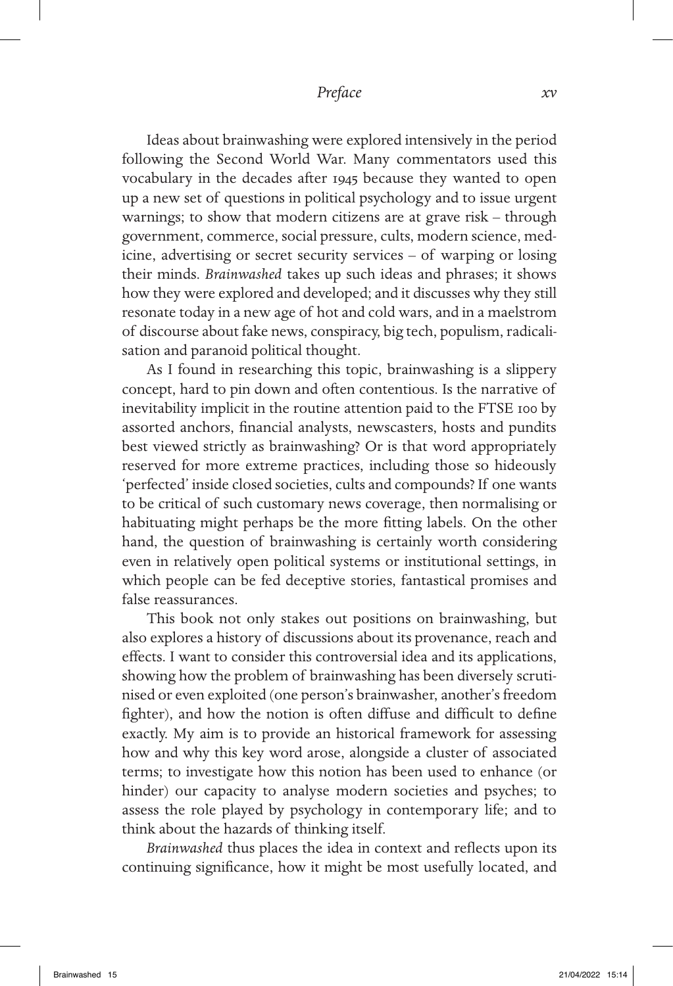#### *Preface xv*

Ideas about brainwashing were explored intensively in the period following the Second World War. Many commentators used this vocabulary in the decades after 1945 because they wanted to open up a new set of questions in political psychology and to issue urgent warnings; to show that modern citizens are at grave risk – through government, commerce, social pressure, cults, modern science, medicine, advertising or secret security services – of warping or losing their minds. *Brainwashed* takes up such ideas and phrases; it shows how they were explored and developed; and it discusses why they still resonate today in a new age of hot and cold wars, and in a maelstrom of discourse about fake news, conspiracy, big tech, populism, radicalisation and paranoid political thought.

As I found in researching this topic, brainwashing is a slippery concept, hard to pin down and often contentious. Is the narrative of inevitability implicit in the routine attention paid to the FTSE 100 by assorted anchors, financial analysts, newscasters, hosts and pundits best viewed strictly as brainwashing? Or is that word appropriately reserved for more extreme practices, including those so hideously 'perfected' inside closed societies, cults and compounds? If one wants to be critical of such customary news coverage, then normalising or habituating might perhaps be the more fitting labels. On the other hand, the question of brainwashing is certainly worth considering even in relatively open political systems or institutional settings, in which people can be fed deceptive stories, fantastical promises and false reassurances.

This book not only stakes out positions on brainwashing, but also explores a history of discussions about its provenance, reach and effects. I want to consider this controversial idea and its applications, showing how the problem of brainwashing has been diversely scrutinised or even exploited (one person's brainwasher, another's freedom fighter), and how the notion is often diffuse and difficult to define exactly. My aim is to provide an historical framework for assessing how and why this key word arose, alongside a cluster of associated terms; to investigate how this notion has been used to enhance (or hinder) our capacity to analyse modern societies and psyches; to assess the role played by psychology in contemporary life; and to think about the hazards of thinking itself.

*Brainwashed* thus places the idea in context and reflects upon its continuing significance, how it might be most usefully located, and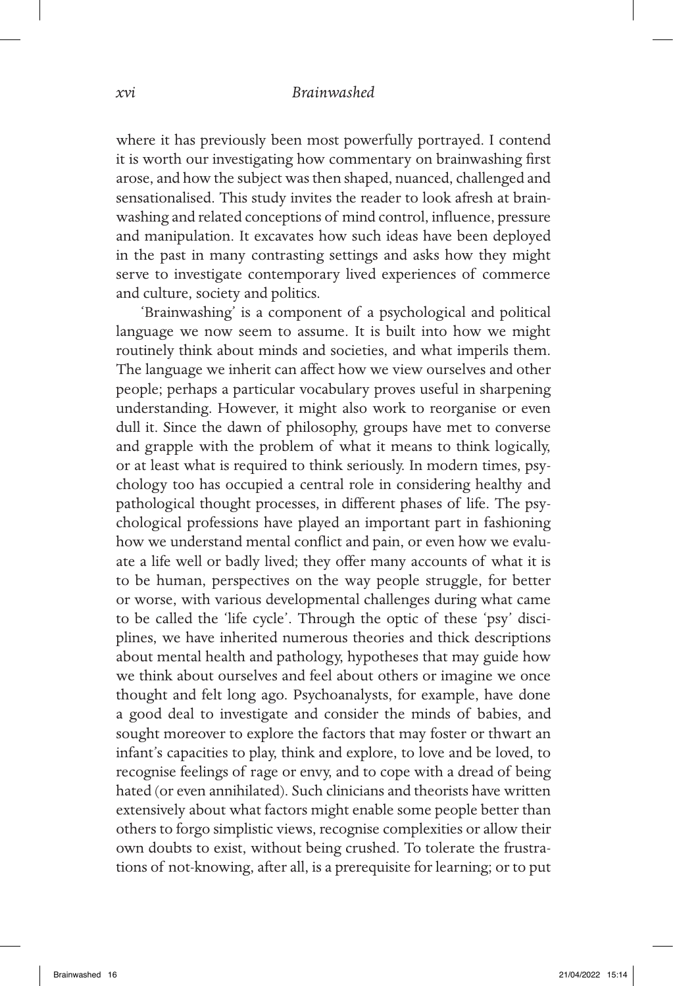where it has previously been most powerfully portrayed. I contend it is worth our investigating how commentary on brainwashing first arose, and how the subject was then shaped, nuanced, challenged and sensationalised. This study invites the reader to look afresh at brainwashing and related conceptions of mind control, influence, pressure and manipulation. It excavates how such ideas have been deployed in the past in many contrasting settings and asks how they might serve to investigate contemporary lived experiences of commerce and culture, society and politics.

'Brainwashing' is a component of a psychological and political language we now seem to assume. It is built into how we might routinely think about minds and societies, and what imperils them. The language we inherit can affect how we view ourselves and other people; perhaps a particular vocabulary proves useful in sharpening understanding. However, it might also work to reorganise or even dull it. Since the dawn of philosophy, groups have met to converse and grapple with the problem of what it means to think logically, or at least what is required to think seriously. In modern times, psychology too has occupied a central role in considering healthy and pathological thought processes, in different phases of life. The psychological professions have played an important part in fashioning how we understand mental conflict and pain, or even how we evaluate a life well or badly lived; they offer many accounts of what it is to be human, perspectives on the way people struggle, for better or worse, with various developmental challenges during what came to be called the 'life cycle'. Through the optic of these 'psy' disciplines, we have inherited numerous theories and thick descriptions about mental health and pathology, hypotheses that may guide how we think about ourselves and feel about others or imagine we once thought and felt long ago. Psychoanalysts, for example, have done a good deal to investigate and consider the minds of babies, and sought moreover to explore the factors that may foster or thwart an infant's capacities to play, think and explore, to love and be loved, to recognise feelings of rage or envy, and to cope with a dread of being hated (or even annihilated). Such clinicians and theorists have written extensively about what factors might enable some people better than others to forgo simplistic views, recognise complexities or allow their own doubts to exist, without being crushed. To tolerate the frustrations of not-knowing, after all, is a prerequisite for learning; or to put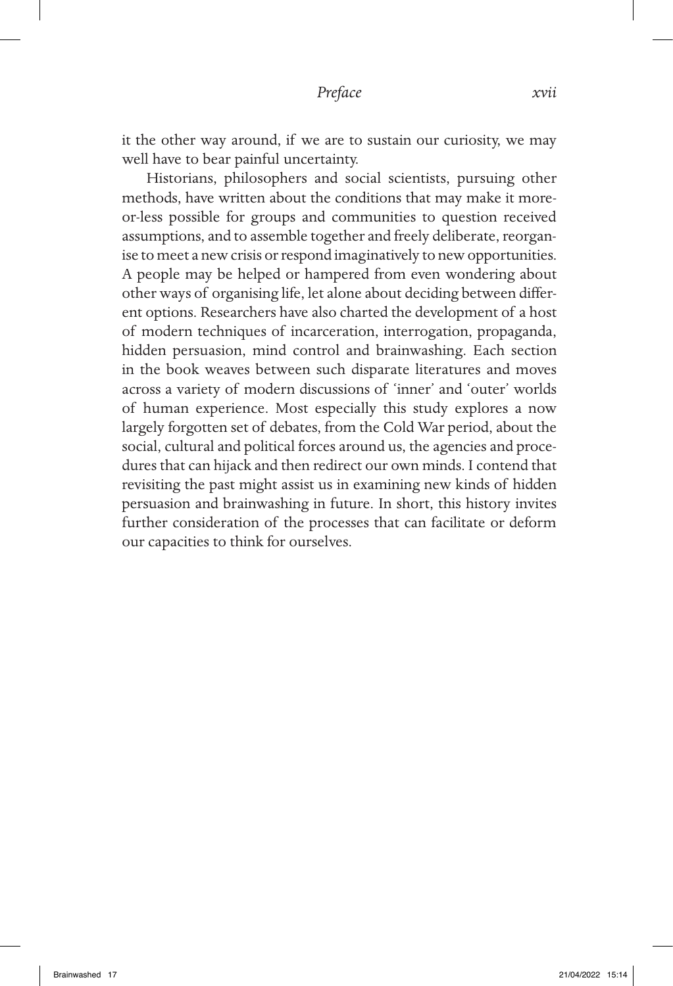it the other way around, if we are to sustain our curiosity, we may well have to bear painful uncertainty.

Historians, philosophers and social scientists, pursuing other methods, have written about the conditions that may make it moreor-less possible for groups and communities to question received assumptions, and to assemble together and freely deliberate, reorganise to meet a new crisis or respond imaginatively to new opportunities. A people may be helped or hampered from even wondering about other ways of organising life, let alone about deciding between different options. Researchers have also charted the development of a host of modern techniques of incarceration, interrogation, propaganda, hidden persuasion, mind control and brainwashing. Each section in the book weaves between such disparate literatures and moves across a variety of modern discussions of 'inner' and 'outer' worlds of human experience. Most especially this study explores a now largely forgotten set of debates, from the Cold War period, about the social, cultural and political forces around us, the agencies and procedures that can hijack and then redirect our own minds. I contend that revisiting the past might assist us in examining new kinds of hidden persuasion and brainwashing in future. In short, this history invites further consideration of the processes that can facilitate or deform our capacities to think for ourselves.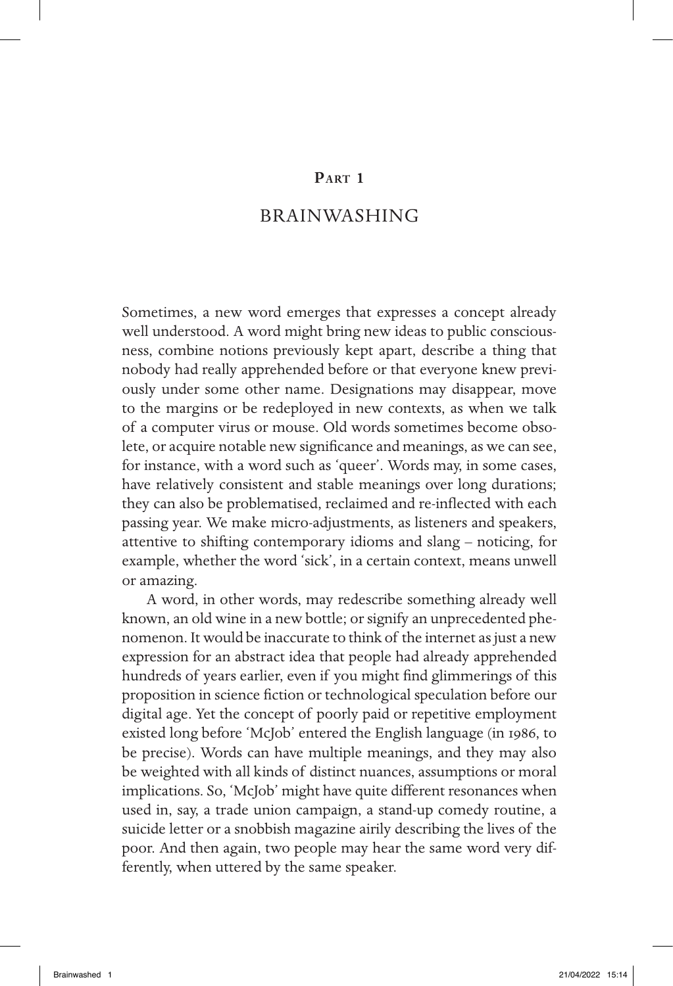#### **Part 1**

#### Brainwashing

Sometimes, a new word emerges that expresses a concept already well understood. A word might bring new ideas to public consciousness, combine notions previously kept apart, describe a thing that nobody had really apprehended before or that everyone knew previously under some other name. Designations may disappear, move to the margins or be redeployed in new contexts, as when we talk of a computer virus or mouse. Old words sometimes become obsolete, or acquire notable new significance and meanings, as we can see, for instance, with a word such as 'queer'. Words may, in some cases, have relatively consistent and stable meanings over long durations; they can also be problematised, reclaimed and re-inflected with each passing year. We make micro-adjustments, as listeners and speakers, attentive to shifting contemporary idioms and slang – noticing, for example, whether the word 'sick', in a certain context, means unwell or amazing.

A word, in other words, may redescribe something already well known, an old wine in a new bottle; or signify an unprecedented phenomenon. It would be inaccurate to think of the internet as just a new expression for an abstract idea that people had already apprehended hundreds of years earlier, even if you might find glimmerings of this proposition in science fiction or technological speculation before our digital age. Yet the concept of poorly paid or repetitive employment existed long before 'McJob' entered the English language (in 1986, to be precise). Words can have multiple meanings, and they may also be weighted with all kinds of distinct nuances, assumptions or moral implications. So, 'McJob' might have quite different resonances when used in, say, a trade union campaign, a stand-up comedy routine, a suicide letter or a snobbish magazine airily describing the lives of the poor. And then again, two people may hear the same word very differently, when uttered by the same speaker.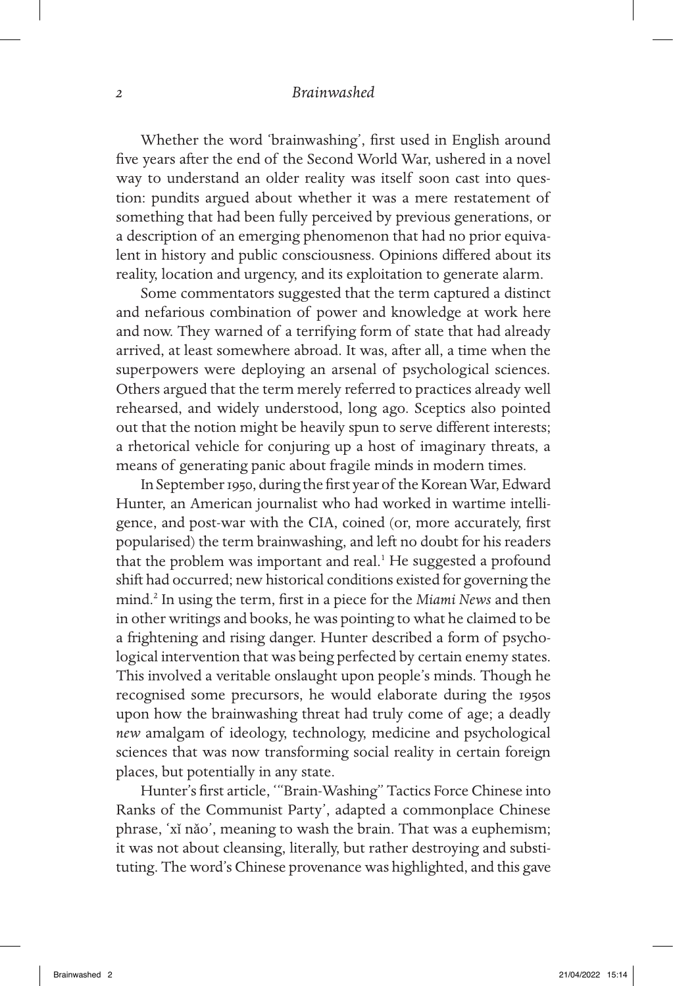Whether the word 'brainwashing', first used in English around five years after the end of the Second World War, ushered in a novel way to understand an older reality was itself soon cast into question: pundits argued about whether it was a mere restatement of something that had been fully perceived by previous generations, or a description of an emerging phenomenon that had no prior equivalent in history and public consciousness. Opinions differed about its reality, location and urgency, and its exploitation to generate alarm.

Some commentators suggested that the term captured a distinct and nefarious combination of power and knowledge at work here and now. They warned of a terrifying form of state that had already arrived, at least somewhere abroad. It was, after all, a time when the superpowers were deploying an arsenal of psychological sciences. Others argued that the term merely referred to practices already well rehearsed, and widely understood, long ago. Sceptics also pointed out that the notion might be heavily spun to serve different interests; a rhetorical vehicle for conjuring up a host of imaginary threats, a means of generating panic about fragile minds in modern times.

In September 1950, during the first year of the Korean War, Edward Hunter, an American journalist who had worked in wartime intelligence, and post-war with the CIA, coined (or, more accurately, first popularised) the term brainwashing, and left no doubt for his readers that the problem was important and real.<sup>1</sup> He suggested a profound shift had occurred; new historical conditions existed for governing the mind.2 In using the term, first in a piece for the *Miami News* and then in other writings and books, he was pointing to what he claimed to be a frightening and rising danger. Hunter described a form of psychological intervention that was being perfected by certain enemy states. This involved a veritable onslaught upon people's minds. Though he recognised some precursors, he would elaborate during the 1950s upon how the brainwashing threat had truly come of age; a deadly *new* amalgam of ideology, technology, medicine and psychological sciences that was now transforming social reality in certain foreign places, but potentially in any state.

Hunter's first article, '"Brain-Washing" Tactics Force Chinese into Ranks of the Communist Party', adapted a commonplace Chinese phrase, 'xǐ nǎo', meaning to wash the brain. That was a euphemism; it was not about cleansing, literally, but rather destroying and substituting. The word's Chinese provenance was highlighted, and this gave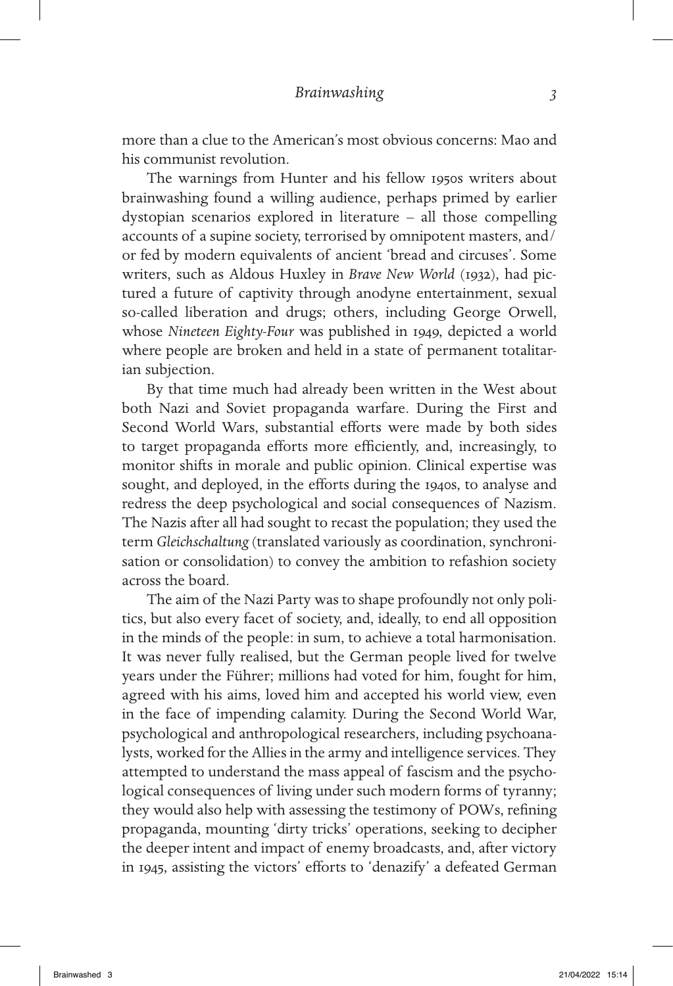more than a clue to the American's most obvious concerns: Mao and his communist revolution.

The warnings from Hunter and his fellow 1950s writers about brainwashing found a willing audience, perhaps primed by earlier dystopian scenarios explored in literature – all those compelling accounts of a supine society, terrorised by omnipotent masters, and/ or fed by modern equivalents of ancient 'bread and circuses'. Some writers, such as Aldous Huxley in *Brave New World* (1932), had pictured a future of captivity through anodyne entertainment, sexual so-called liberation and drugs; others, including George Orwell, whose *Nineteen Eighty-Four* was published in 1949, depicted a world where people are broken and held in a state of permanent totalitarian subjection.

By that time much had already been written in the West about both Nazi and Soviet propaganda warfare. During the First and Second World Wars, substantial efforts were made by both sides to target propaganda efforts more efficiently, and, increasingly, to monitor shifts in morale and public opinion. Clinical expertise was sought, and deployed, in the efforts during the 1940s, to analyse and redress the deep psychological and social consequences of Nazism. The Nazis after all had sought to recast the population; they used the term *Gleichschaltung* (translated variously as coordination, synchronisation or consolidation) to convey the ambition to refashion society across the board.

The aim of the Nazi Party was to shape profoundly not only politics, but also every facet of society, and, ideally, to end all opposition in the minds of the people: in sum, to achieve a total harmonisation. It was never fully realised, but the German people lived for twelve years under the Führer; millions had voted for him, fought for him, agreed with his aims, loved him and accepted his world view, even in the face of impending calamity. During the Second World War, psychological and anthropological researchers, including psychoanalysts, worked for the Allies in the army and intelligence services. They attempted to understand the mass appeal of fascism and the psychological consequences of living under such modern forms of tyranny; they would also help with assessing the testimony of POWs, refining propaganda, mounting 'dirty tricks' operations, seeking to decipher the deeper intent and impact of enemy broadcasts, and, after victory in 1945, assisting the victors' efforts to 'denazify' a defeated German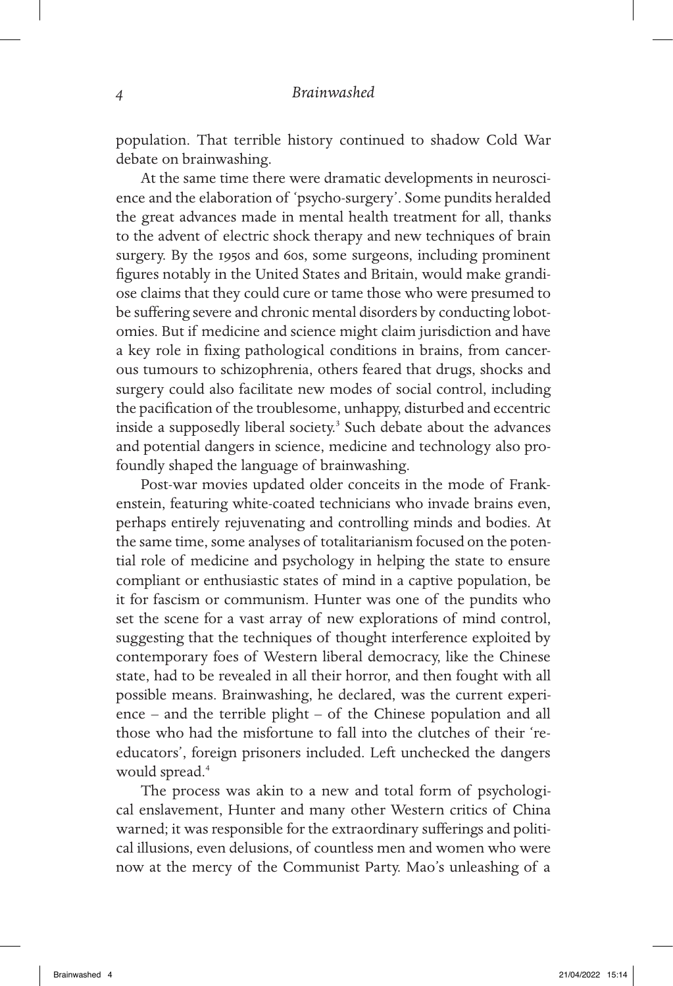population. That terrible history continued to shadow Cold War debate on brainwashing.

At the same time there were dramatic developments in neuroscience and the elaboration of 'psycho-surgery'. Some pundits heralded the great advances made in mental health treatment for all, thanks to the advent of electric shock therapy and new techniques of brain surgery. By the 1950s and 60s, some surgeons, including prominent figures notably in the United States and Britain, would make grandiose claims that they could cure or tame those who were presumed to be suffering severe and chronic mental disorders by conducting lobotomies. But if medicine and science might claim jurisdiction and have a key role in fixing pathological conditions in brains, from cancerous tumours to schizophrenia, others feared that drugs, shocks and surgery could also facilitate new modes of social control, including the pacification of the troublesome, unhappy, disturbed and eccentric inside a supposedly liberal society.<sup>3</sup> Such debate about the advances and potential dangers in science, medicine and technology also profoundly shaped the language of brainwashing.

Post-war movies updated older conceits in the mode of Frankenstein, featuring white-coated technicians who invade brains even, perhaps entirely rejuvenating and controlling minds and bodies. At the same time, some analyses of totalitarianism focused on the potential role of medicine and psychology in helping the state to ensure compliant or enthusiastic states of mind in a captive population, be it for fascism or communism. Hunter was one of the pundits who set the scene for a vast array of new explorations of mind control, suggesting that the techniques of thought interference exploited by contemporary foes of Western liberal democracy, like the Chinese state, had to be revealed in all their horror, and then fought with all possible means. Brainwashing, he declared, was the current experience – and the terrible plight – of the Chinese population and all those who had the misfortune to fall into the clutches of their 'reeducators', foreign prisoners included. Left unchecked the dangers would spread.4

The process was akin to a new and total form of psychological enslavement, Hunter and many other Western critics of China warned; it was responsible for the extraordinary sufferings and political illusions, even delusions, of countless men and women who were now at the mercy of the Communist Party. Mao's unleashing of a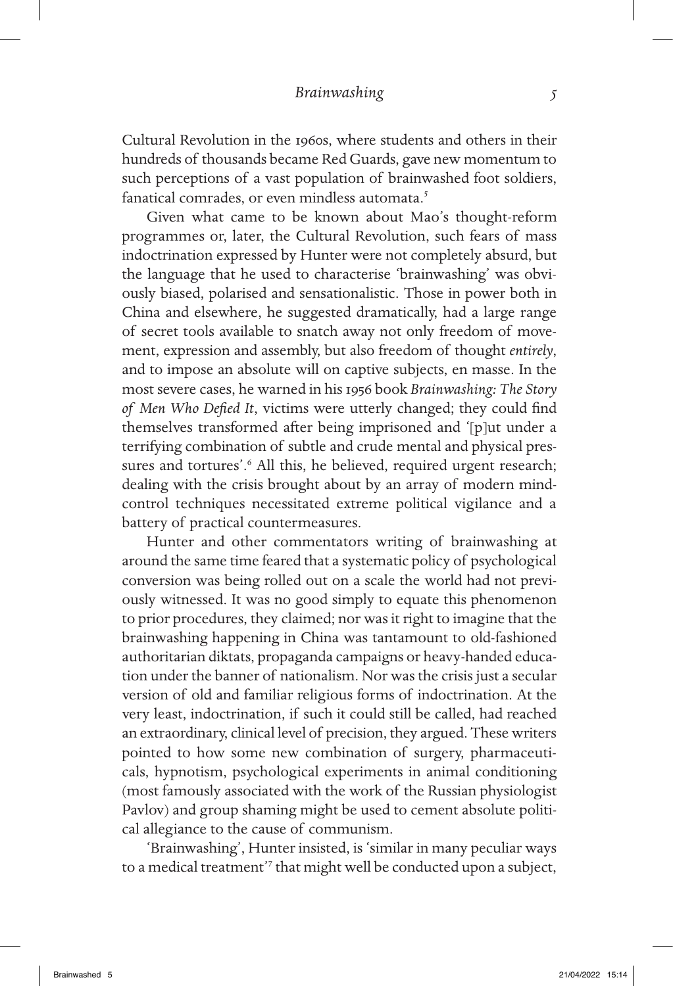Cultural Revolution in the 1960s, where students and others in their hundreds of thousands became Red Guards, gave new momentum to such perceptions of a vast population of brainwashed foot soldiers, fanatical comrades, or even mindless automata.<sup>5</sup>

Given what came to be known about Mao's thought-reform programmes or, later, the Cultural Revolution, such fears of mass indoctrination expressed by Hunter were not completely absurd, but the language that he used to characterise 'brainwashing' was obviously biased, polarised and sensationalistic. Those in power both in China and elsewhere, he suggested dramatically, had a large range of secret tools available to snatch away not only freedom of movement, expression and assembly, but also freedom of thought *entirely*, and to impose an absolute will on captive subjects, en masse. In the most severe cases, he warned in his 1956 book *Brainwashing: The Story of Men Who Defied It*, victims were utterly changed; they could find themselves transformed after being imprisoned and '[p]ut under a terrifying combination of subtle and crude mental and physical pressures and tortures'.<sup>6</sup> All this, he believed, required urgent research; dealing with the crisis brought about by an array of modern mindcontrol techniques necessitated extreme political vigilance and a battery of practical countermeasures.

Hunter and other commentators writing of brainwashing at around the same time feared that a systematic policy of psychological conversion was being rolled out on a scale the world had not previously witnessed. It was no good simply to equate this phenomenon to prior procedures, they claimed; nor was it right to imagine that the brainwashing happening in China was tantamount to old-fashioned authoritarian diktats, propaganda campaigns or heavy-handed education under the banner of nationalism. Nor was the crisis just a secular version of old and familiar religious forms of indoctrination. At the very least, indoctrination, if such it could still be called, had reached an extraordinary, clinical level of precision, they argued. These writers pointed to how some new combination of surgery, pharmaceuticals, hypnotism, psychological experiments in animal conditioning (most famously associated with the work of the Russian physiologist Pavlov) and group shaming might be used to cement absolute political allegiance to the cause of communism.

'Brainwashing', Hunter insisted, is 'similar in many peculiar ways to a medical treatment'<sup>7</sup> that might well be conducted upon a subject,